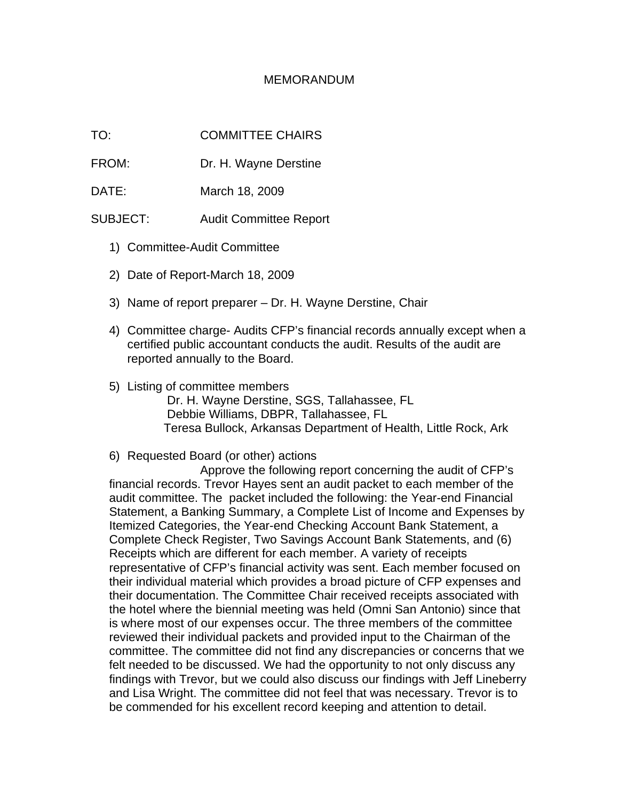## MEMORANDUM

TO: COMMITTEE CHAIRS

FROM: Dr. H. Wayne Derstine

DATE: March 18, 2009

SUBJECT: Audit Committee Report

- 1) Committee-Audit Committee
- 2) Date of Report-March 18, 2009
- 3) Name of report preparer Dr. H. Wayne Derstine, Chair
- 4) Committee charge- Audits CFP's financial records annually except when a certified public accountant conducts the audit. Results of the audit are reported annually to the Board.
- 5) Listing of committee members Dr. H. Wayne Derstine, SGS, Tallahassee, FL Debbie Williams, DBPR, Tallahassee, FL Teresa Bullock, Arkansas Department of Health, Little Rock, Ark

## 6) Requested Board (or other) actions

Approve the following report concerning the audit of CFP's financial records. Trevor Hayes sent an audit packet to each member of the audit committee. The packet included the following: the Year-end Financial Statement, a Banking Summary, a Complete List of Income and Expenses by Itemized Categories, the Year-end Checking Account Bank Statement, a Complete Check Register, Two Savings Account Bank Statements, and (6) Receipts which are different for each member. A variety of receipts representative of CFP's financial activity was sent. Each member focused on their individual material which provides a broad picture of CFP expenses and their documentation. The Committee Chair received receipts associated with the hotel where the biennial meeting was held (Omni San Antonio) since that is where most of our expenses occur. The three members of the committee reviewed their individual packets and provided input to the Chairman of the committee. The committee did not find any discrepancies or concerns that we felt needed to be discussed. We had the opportunity to not only discuss any findings with Trevor, but we could also discuss our findings with Jeff Lineberry and Lisa Wright. The committee did not feel that was necessary. Trevor is to be commended for his excellent record keeping and attention to detail.